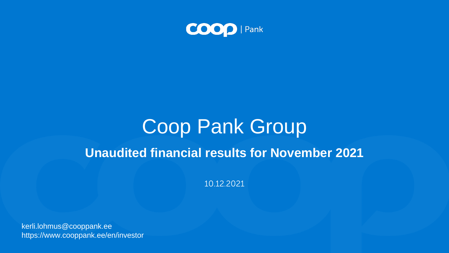

## Coop Pank Group **Unaudited financial results for November 2021**

kerli.lohmus@cooppank.ee https://www.cooppank.ee/en/investor

10.12.2021